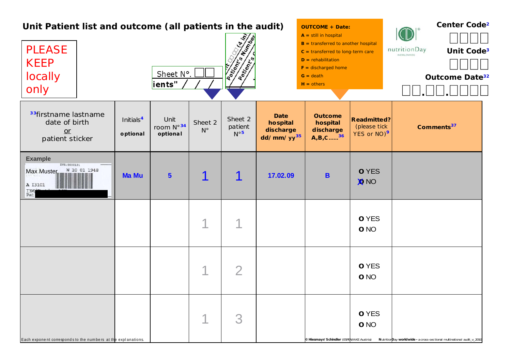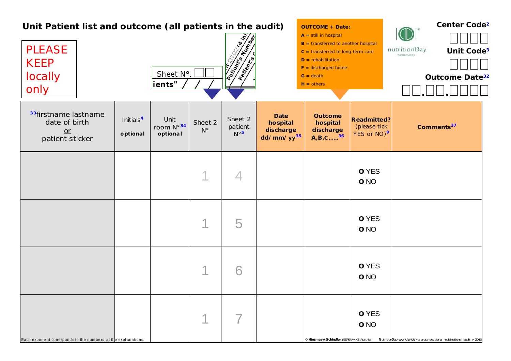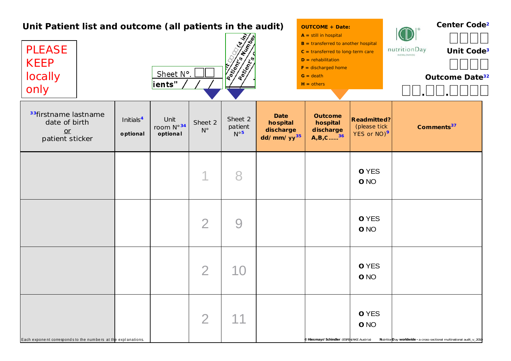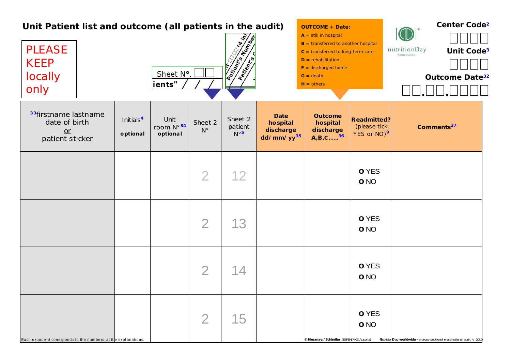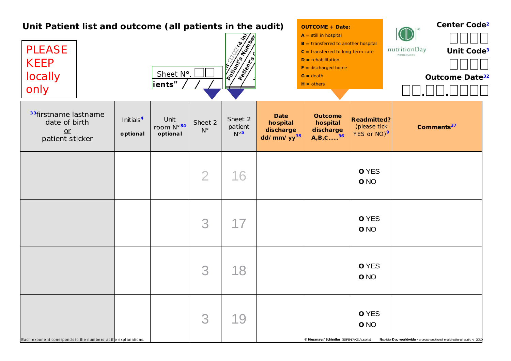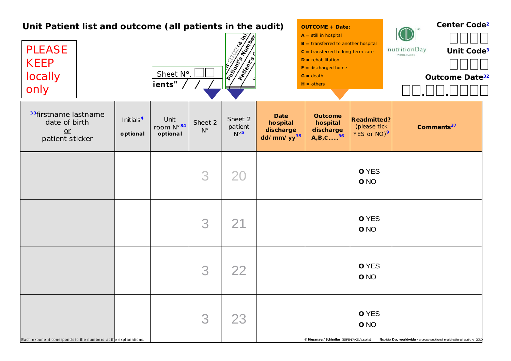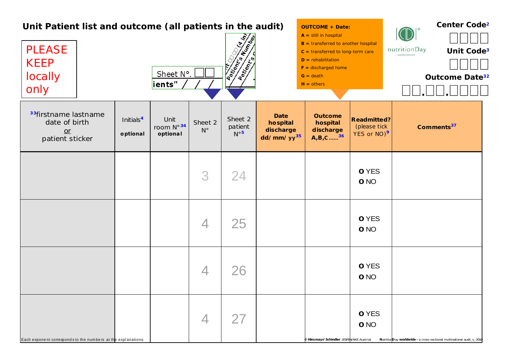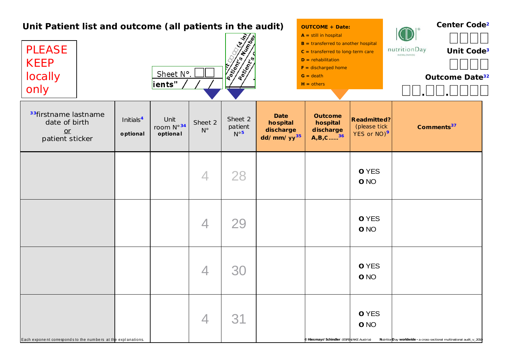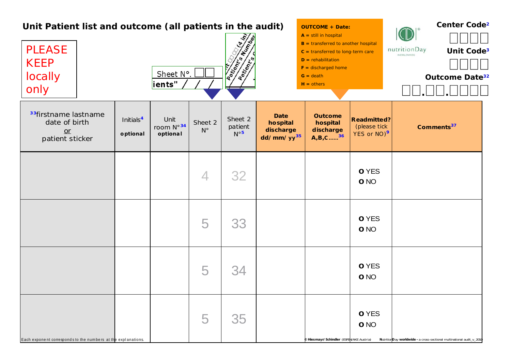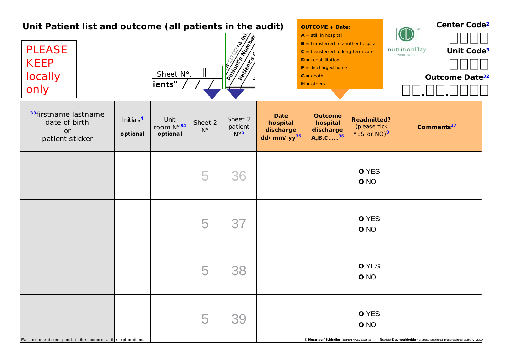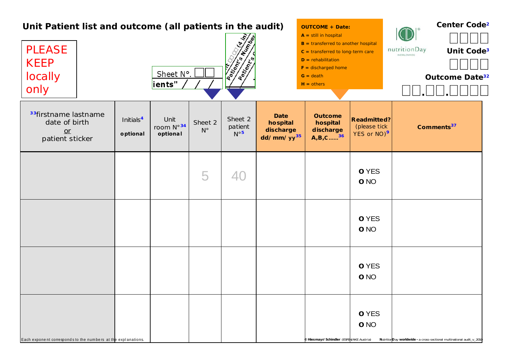